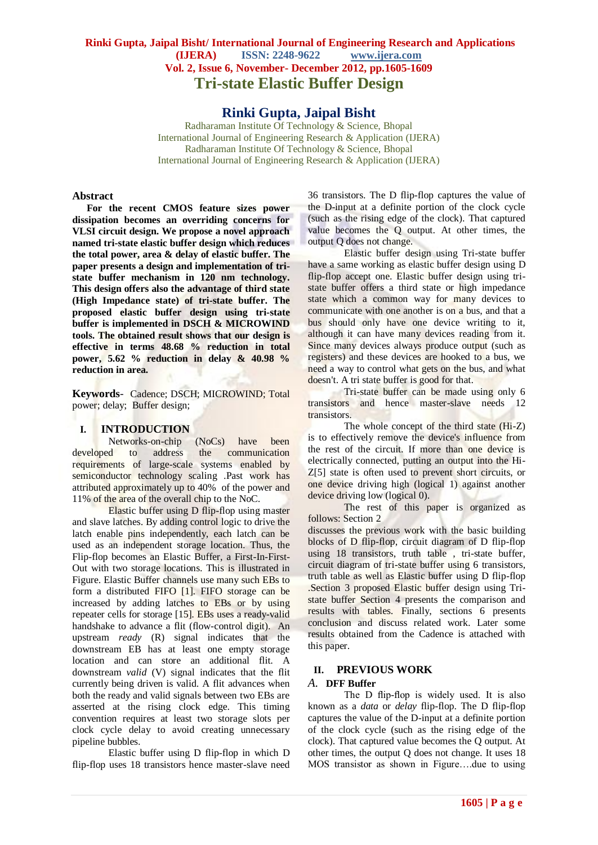# **Rinki Gupta, Jaipal Bisht/ International Journal of Engineering Research and Applications (IJERA) ISSN: 2248-9622 www.ijera.com Vol. 2, Issue 6, November- December 2012, pp.1605-1609 Tri-state Elastic Buffer Design**

# **Rinki Gupta, Jaipal Bisht**

Radharaman Institute Of Technology & Science, Bhopal International Journal of Engineering Research & Application (IJERA) Radharaman Institute Of Technology & Science, Bhopal International Journal of Engineering Research & Application (IJERA)

#### **Abstract**

**For the recent CMOS feature sizes power dissipation becomes an overriding concerns for VLSI circuit design. We propose a novel approach named tri-state elastic buffer design which reduces the total power, area & delay of elastic buffer. The paper presents a design and implementation of tristate buffer mechanism in 120 nm technology. This design offers also the advantage of third state (High Impedance state) of tri-state buffer. The proposed elastic buffer design using tri-state buffer is implemented in DSCH & MICROWIND tools. The obtained result shows that our design is effective in terms 48.68 % reduction in total power, 5.62 % reduction in delay & 40.98 % reduction in area***.*

**Keywords**- Cadence; DSCH; MICROWIND; Total power; delay; Buffer design;

### **I. INTRODUCTION**

Networks-on-chip (NoCs) have been developed to address the communication requirements of large-scale systems enabled by semiconductor technology scaling .Past work has attributed approximately up to 40% of the power and 11% of the area of the overall chip to the NoC.

Elastic buffer using D flip-flop using master and slave latches. By adding control logic to drive the latch enable pins independently, each latch can be used as an independent storage location. Thus, the Flip-flop becomes an Elastic Buffer, a First-In-First-Out with two storage locations. This is illustrated in Figure. Elastic Buffer channels use many such EBs to form a distributed FIFO [1]. FIFO storage can be increased by adding latches to EBs or by using repeater cells for storage [15]. EBs uses a ready-valid handshake to advance a flit (flow-control digit). An upstream *ready* (R) signal indicates that the downstream EB has at least one empty storage location and can store an additional flit. A downstream *valid* (V) signal indicates that the flit currently being driven is valid. A flit advances when both the ready and valid signals between two EBs are asserted at the rising clock edge. This timing convention requires at least two storage slots per clock cycle delay to avoid creating unnecessary pipeline bubbles.

Elastic buffer using D flip-flop in which D flip-flop uses 18 transistors hence master-slave need 36 transistors. The D flip-flop captures the value of the D-input at a definite portion of the clock cycle (such as the rising edge of the clock). That captured value becomes the Q output. At other times, the output Q does not change.

Elastic buffer design using Tri-state buffer have a same working as elastic buffer design using D flip-flop accept one. Elastic buffer design using tristate buffer offers a third state or high impedance state which a common way for many devices to communicate with one another is on a bus, and that a bus should only have one device writing to it, although it can have many devices reading from it. Since many devices always produce output (such as registers) and these devices are hooked to a bus, we need a way to control what gets on the bus, and what doesn't. A tri state buffer is good for that.

Tri-state buffer can be made using only 6 transistors and hence master-slave needs 12 **transistors** 

The whole concept of the third state (Hi-Z) is to effectively remove the device's influence from the rest of the circuit. If more than one device is electrically connected, putting an output into the Hi-Z[5] state is often used to prevent short circuits, or one device driving high (logical 1) against another device driving low (logical 0).

The rest of this paper is organized as follows: Section 2

discusses the previous work with the basic building blocks of D flip-flop, circuit diagram of D flip-flop using 18 transistors, truth table , tri-state buffer, circuit diagram of tri-state buffer using 6 transistors, truth table as well as Elastic buffer using D flip-flop .Section 3 proposed Elastic buffer design using Tristate buffer Section 4 presents the comparison and results with tables. Finally, sections 6 presents conclusion and discuss related work. Later some results obtained from the Cadence is attached with this paper.

### **II. PREVIOUS WORK**

### *A.* **DFF Buffer**

The D flip-flop is widely used. It is also known as a *data* or *delay* flip-flop. The D flip-flop captures the value of the D-input at a definite portion of the clock cycle (such as the rising edge of the clock). That captured value becomes the Q output. At other times, the output Q does not change. It uses 18 MOS transistor as shown in Figure….due to using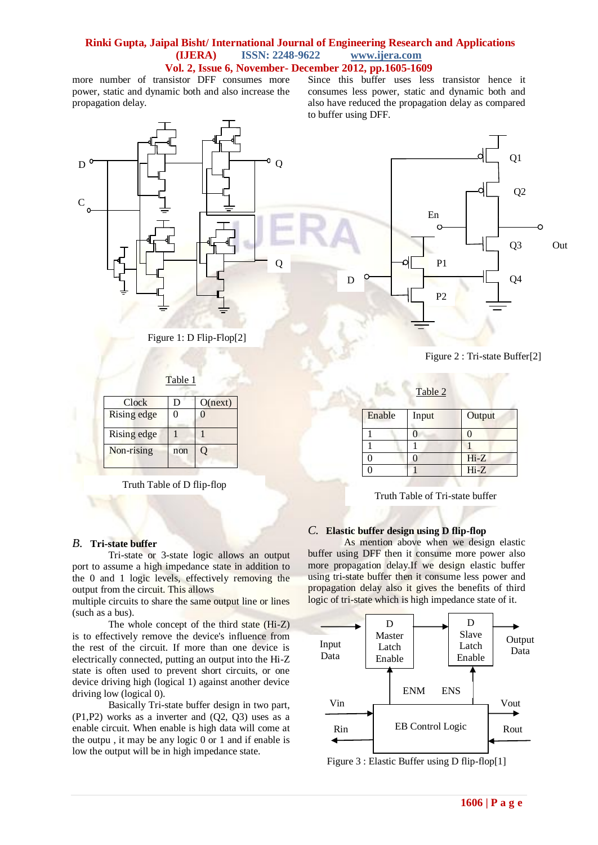## **Rinki Gupta, Jaipal Bisht/ International Journal of Engineering Research and Applications (IJERA) ISSN: 2248-9622 www.ijera.com Vol. 2, Issue 6, November- December 2012, pp.1605-1609**

more number of transistor DFF consumes more power, static and dynamic both and also increase the propagation delay.

Since this buffer uses less transistor hence it consumes less power, static and dynamic both and also have reduced the propagation delay as compared to buffer using DFF.



Figure 1: D Flip-Flop[2]

| Table 1 |  |
|---------|--|
|         |  |

| Clock       | I)  | O(next) |
|-------------|-----|---------|
| Rising edge | 0   | ſ       |
| Rising edge |     |         |
| Non-rising  | non |         |

Truth Table of D flip-flop

## *B.* **Tri-state buffer**

Tri-state or 3-state [logic](http://en.wikipedia.org/wiki/Logic_gate) allows an output port to assume a [high](http://en.wikipedia.org/wiki/High_impedance) impedance state in addition to the 0 and 1 [logic levels,](http://en.wikipedia.org/wiki/Logic_level) effectively removing the output from the circuit. This allows

multiple circuits to share the same output line or lines (such as a [bus\)](http://en.wikipedia.org/wiki/Computer_bus).

The whole concept of the third state (Hi-Z) is to effectively remove the device's influence from the rest of the circuit. If more than one device is electrically connected, putting an output into the Hi-Z state is often used to prevent short circuits, or one device driving high (logical 1) against another device driving low (logical 0).

Basically Tri-state buffer design in two part, (P1,P2) works as a inverter and (Q2, Q3) uses as a enable circuit. When enable is high data will come at the outpu , it may be any logic 0 or 1 and if enable is low the output will be in high impedance state.



Figure 2 : Tri-state Buffer[2]

Table 2

| Enable | Input | Output |
|--------|-------|--------|
|        |       |        |
|        |       |        |
|        |       | $Hi-Z$ |
|        |       | $Hi-Z$ |

Truth Table of Tri-state buffer

## *C.* **Elastic buffer design using D flip-flop**

As mention above when we design elastic buffer using DFF then it consume more power also more propagation delay.If we design elastic buffer using tri-state buffer then it consume less power and propagation delay also it gives the benefits of third logic of tri-state which is high impedance state of it.



Figure 3 : Elastic Buffer using D flip-flop[1]

**1606 | P a g e**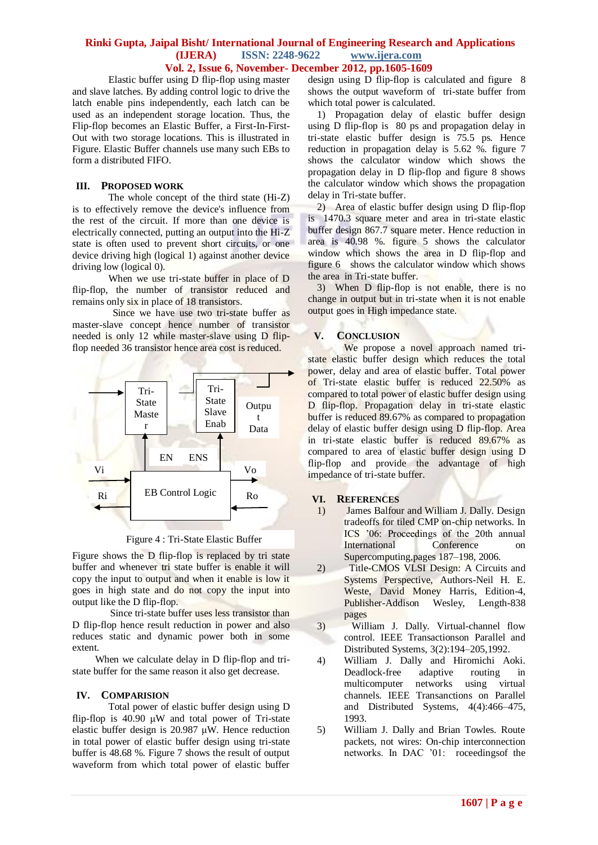## **Rinki Gupta, Jaipal Bisht/ International Journal of Engineering Research and Applications (IJERA) ISSN: 2248-9622 www.ijera.com Vol. 2, Issue 6, November- December 2012, pp.1605-1609**

Elastic buffer using D flip-flop using master and slave latches. By adding control logic to drive the latch enable pins independently, each latch can be used as an independent storage location. Thus, the Flip-flop becomes an Elastic Buffer, a First-In-First-Out with two storage locations. This is illustrated in Figure. Elastic Buffer channels use many such EBs to form a distributed FIFO.

## **III. PROPOSED WORK**

The whole concept of the third state (Hi-Z) is to effectively remove the device's influence from the rest of the circuit. If more than one device is electrically connected, putting an output into the Hi-Z state is often used to prevent short circuits, or one device driving high (logical 1) against another device driving low (logical 0).

When we use tri-state buffer in place of D flip-flop, the number of transistor reduced and remains only six in place of 18 transistors.

 Since we have use two tri-state buffer as master-slave concept hence number of transistor needed is only 12 while master-slave using D flipflop needed 36 transistor hence area cost is reduced.



Figure 4 : Tri-State Elastic Buffer

Figure shows the D flip-flop is replaced by tri state buffer and whenever tri state buffer is enable it will copy the input to output and when it enable is low it goes in high state and do not copy the input into output like the D flip-flop.

 Since tri-state buffer uses less transistor than D flip-flop hence result reduction in power and also reduces static and dynamic power both in some extent.

 When we calculate delay in D flip-flop and tristate buffer for the same reason it also get decrease.

## **IV. COMPARISION**

Total power of elastic buffer design using D flip-flop is 40.90  $\mu$ W and total power of Tri-state elastic buffer design is 20.987 μW. Hence reduction in total power of elastic buffer design using tri-state buffer is 48.68 %. Figure 7 shows the result of output waveform from which total power of elastic buffer design using D flip-flop is calculated and figure 8 shows the output waveform of tri-state buffer from which total power is calculated.

1) Propagation delay of elastic buffer design using D flip-flop is 80 ps and propagation delay in tri-state elastic buffer design is 75.5 ps. Hence reduction in propagation delay is 5.62 %. figure 7 shows the calculator window which shows the propagation delay in D flip-flop and figure 8 shows the calculator window which shows the propagation delay in Tri-state buffer.

2) Area of elastic buffer design using D flip-flop is 1470.3 square meter and area in tri-state elastic buffer design 867.7 square meter. Hence reduction in area is 40.98 %. figure 5 shows the calculator window which shows the area in D flip-flop and figure 6 shows the calculator window which shows the area in Tri-state buffer.

3) When D flip-flop is not enable, there is no change in output but in tri-state when it is not enable output goes in High impedance state.

## **V. CONCLUSION**

We propose a novel approach named tristate elastic buffer design which reduces the total power, delay and area of elastic buffer. Total power of Tri-state elastic buffer is reduced 22.50% as compared to total power of elastic buffer design using D flip-flop. Propagation delay in tri-state elastic buffer is reduced 89.67% as compared to propagation delay of elastic buffer design using D flip-flop. Area in tri-state elastic buffer is reduced 89.67% as compared to area of elastic buffer design using D flip-flop and provide the advantage of high impedance of tri-state buffer.

## **VI. REFERENCES**

- 1) James Balfour and William J. Dally. Design tradeoffs for tiled CMP on-chip networks. In ICS '06: Proceedings of the 20th annual International Conference on Supercomputing,pages 187–198, 2006.
- 2) Title-CMOS VLSI Design: A Circuits and Systems Perspective, Authors[-Neil H. E.](http://www.google.co.in/search?tbo=p&tbm=bks&q=inauthor:%22Neil+H.+E.+Weste%22&source=gbs_metadata_r&cad=5)  [Weste,](http://www.google.co.in/search?tbo=p&tbm=bks&q=inauthor:%22Neil+H.+E.+Weste%22&source=gbs_metadata_r&cad=5) [David Money Harris,](http://www.google.co.in/search?tbo=p&tbm=bks&q=inauthor:%22David+Money+Harris%22&source=gbs_metadata_r&cad=5) Edition-4,<br>Publisher-Addison Wesley, Length-838 Publisher-Addison Wesley, pages
- 3) William J. Dally. Virtual-channel flow control. IEEE Transactionson Parallel and Distributed Systems, 3(2):194–205,1992.
- 4) William J. Dally and Hiromichi Aoki. Deadlock-free adaptive routing in multicomputer networks using virtual channels. IEEE Transanctions on Parallel and Distributed Systems, 4(4):466–475, 1993.
- 5) William J. Dally and Brian Towles. Route packets, not wires: On-chip interconnection networks. In DAC '01: roceedingsof the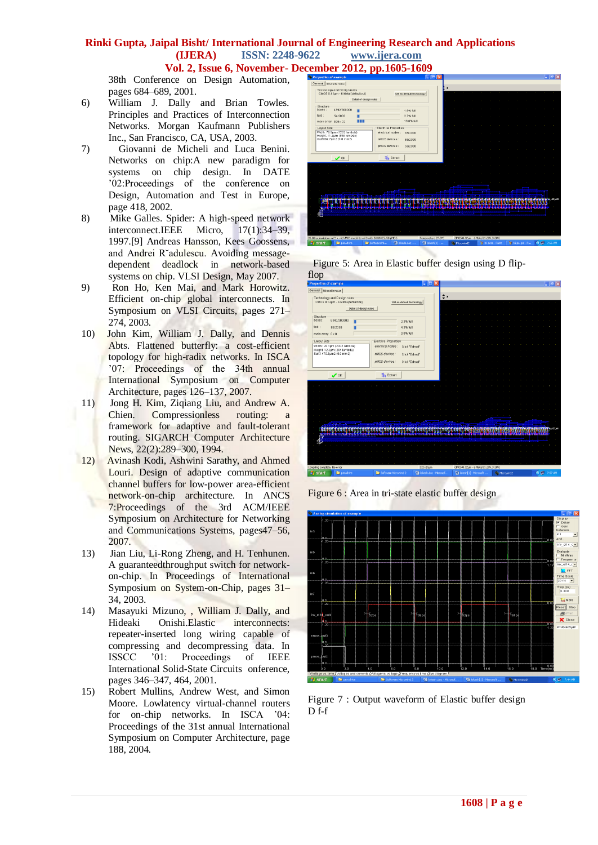# **Rinki Gupta, Jaipal Bisht/ International Journal of Engineering Research and Applications (IJERA) ISSN: 2248-9622 www.ijera.com**

**Vol. 2, Issue 6, November- December 2012, pp.1605-1609**

38th Conference on Design Automation, pages 684–689, 2001.

- 6) William J. Dally and Brian Towles. Principles and Practices of Interconnection Networks. Morgan Kaufmann Publishers Inc., San Francisco, CA, USA, 2003.
- 7) Giovanni de Micheli and Luca Benini. Networks on chip:A new paradigm for systems on chip design. In DATE '02:Proceedings of the conference on Design, Automation and Test in Europe, page 418, 2002.
- 8) Mike Galles. Spider: A high-speed network interconnect.IEEE Micro, 17(1):34–39, 1997.[9] Andreas Hansson, Kees Goossens, and Andrei R˘adulescu. Avoiding messagedependent deadlock in network-based systems on chip. VLSI Design, May 2007.
- 9) Ron Ho, Ken Mai, and Mark Horowitz. Efficient on-chip global interconnects. In Symposium on VLSI Circuits, pages 271– 274, 2003.
- 10) John Kim, William J. Dally, and Dennis Abts. Flattened butterfly: a cost-efficient topology for high-radix networks. In ISCA '07: Proceedings of the 34th annual International Symposium on Computer Architecture, pages 126–137, 2007.
- 11) Jong H. Kim, Ziqiang Liu, and Andrew A. Chien. Compressionless routing: a framework for adaptive and fault-tolerant routing. SIGARCH Computer Architecture News, 22(2):289–300, 1994.
- 12) Avinash Kodi, Ashwini Sarathy, and Ahmed Louri. Design of adaptive communication channel buffers for low-power area-efficient network-on-chip architecture. In ANCS 7:Proceedings of the 3rd ACM/IEEE Symposium on Architecture for Networking and Communications Systems, pages47–56, 2007.
- 13) Jian Liu, Li-Rong Zheng, and H. Tenhunen. A guaranteedthroughput switch for networkon-chip. In Proceedings of International Symposium on System-on-Chip, pages 31– 34, 2003.
- 14) Masayuki Mizuno, , William J. Dally, and Hideaki Onishi.Elastic interconnects: repeater-inserted long wiring capable of compressing and decompressing data. In ISSCC '01: Proceedings of IEEE International Solid-State Circuits onference, pages 346–347, 464, 2001.
- 15) Robert Mullins, Andrew West, and Simon Moore. Lowlatency virtual-channel routers for on-chip networks. In ISCA '04: Proceedings of the 31st annual International Symposium on Computer Architecture, page 188, 2004*.*



 Figure 5: Area in Elastic buffer design using D flipflop

| Properties of example                    |                                                                   |                                       | ЮI                                   |                                                                           | $-5$                      |
|------------------------------------------|-------------------------------------------------------------------|---------------------------------------|--------------------------------------|---------------------------------------------------------------------------|---------------------------|
| General   Miscallenous                   |                                                                   |                                       |                                      |                                                                           |                           |
|                                          | Technology and Design rules<br>CMOS 0.12um - 6 Metal(default.rul) | Set as default technology             |                                      | $\hat{\mathbf{z}}$                                                        |                           |
|                                          | Detail of design rules                                            |                                       |                                      |                                                                           |                           |
| Structure<br>boxes:                      | 6843/300000                                                       | 2.3% full                             |                                      |                                                                           |                           |
| text :                                   | 86/2000                                                           | 4.3% full                             |                                      |                                                                           |                           |
| main array. 0 x 0                        |                                                                   | 0.0% full                             |                                      |                                                                           |                           |
| -Layout Size                             |                                                                   | Electrical Properties                 |                                      |                                                                           |                           |
|                                          | Width:120.1µm (2002 lambda)<br>Height 12.2um (204 lambda)         | electrical nodes :<br>Click "Extract" |                                      |                                                                           |                           |
|                                          | Surf:1470.3um2 (0.0 mm2)                                          | nMOS devices<br>Click "Extract"       |                                      |                                                                           |                           |
|                                          |                                                                   | pMOS devices:<br>Click "Extract"      |                                      |                                                                           |                           |
|                                          |                                                                   |                                       |                                      |                                                                           |                           |
|                                          | $\bullet$ ok                                                      | Sa Extract                            |                                      |                                                                           |                           |
|                                          |                                                                   |                                       |                                      |                                                                           |                           |
|                                          |                                                                   |                                       |                                      |                                                                           |                           |
|                                          |                                                                   |                                       |                                      |                                                                           |                           |
|                                          |                                                                   |                                       |                                      |                                                                           |                           |
|                                          |                                                                   |                                       |                                      |                                                                           |                           |
|                                          |                                                                   |                                       |                                      |                                                                           |                           |
|                                          |                                                                   |                                       |                                      |                                                                           |                           |
|                                          |                                                                   |                                       | <b>STATISTICS</b>                    | and the fact of the the top the team of the contract of the second second | <b>DESCRIPTION</b>        |
|                                          |                                                                   |                                       |                                      |                                                                           |                           |
|                                          |                                                                   |                                       |                                      |                                                                           |                           |
| Compiling complete, No error<br>121x15um |                                                                   |                                       | CMOS 0.12um - 6 Metal (1.20V, 3.30V) |                                                                           |                           |
| <b>El</b> start                          | <b>De</b> pen drive                                               | <b>Co</b> Software Mcrowind 2         | W lakesh.doc - Mcrosof               | black [1] - Microsoft<br>Microwind2                                       | <b>Critics</b><br>7:57 AM |

Figure 6 : Area in tri-state elastic buffer design



Figure 7 : Output waveform of Elastic buffer design D f-f